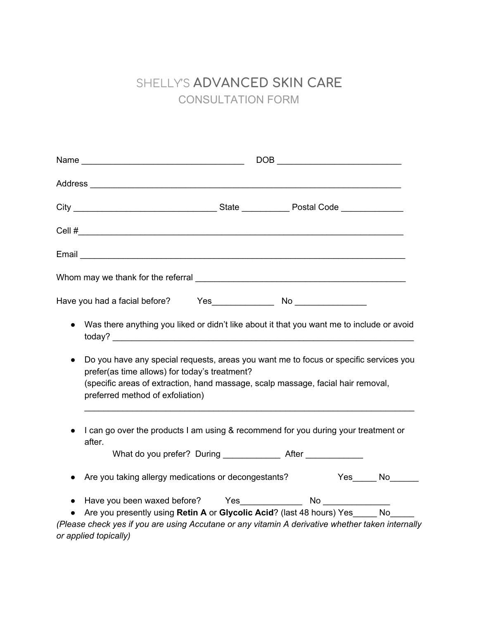## SHELLY'S **ADVANCED SKIN CARE** CONSULTATION FORM

|                                                                                                | $\begin{picture}(180,10) \put(0,0){\dashbox{0.5}(10,0){ }} \put(10,0){\dashbox{0.5}(10,0){ }} \put(10,0){\dashbox{0.5}(10,0){ }} \put(10,0){\dashbox{0.5}(10,0){ }} \put(10,0){\dashbox{0.5}(10,0){ }} \put(10,0){\dashbox{0.5}(10,0){ }} \put(10,0){\dashbox{0.5}(10,0){ }} \put(10,0){\dashbox{0.5}(10,0){ }} \put(10,0){\dashbox{0.5}(10,0){ }} \put(10,0){\dashbox$ |
|------------------------------------------------------------------------------------------------|-------------------------------------------------------------------------------------------------------------------------------------------------------------------------------------------------------------------------------------------------------------------------------------------------------------------------------------------------------------------------|
|                                                                                                |                                                                                                                                                                                                                                                                                                                                                                         |
|                                                                                                |                                                                                                                                                                                                                                                                                                                                                                         |
|                                                                                                |                                                                                                                                                                                                                                                                                                                                                                         |
|                                                                                                |                                                                                                                                                                                                                                                                                                                                                                         |
|                                                                                                |                                                                                                                                                                                                                                                                                                                                                                         |
|                                                                                                |                                                                                                                                                                                                                                                                                                                                                                         |
| $\bullet$                                                                                      | Was there anything you liked or didn't like about it that you want me to include or avoid                                                                                                                                                                                                                                                                               |
| $\bullet$<br>prefer(as time allows) for today's treatment?<br>preferred method of exfoliation) | Do you have any special requests, areas you want me to focus or specific services you<br>(specific areas of extraction, hand massage, scalp massage, facial hair removal,                                                                                                                                                                                               |
| after.                                                                                         | I can go over the products I am using & recommend for you during your treatment or                                                                                                                                                                                                                                                                                      |
|                                                                                                | What do you prefer? During __________________ After _______________                                                                                                                                                                                                                                                                                                     |
|                                                                                                | Are you taking allergy medications or decongestants? Yes ______ No                                                                                                                                                                                                                                                                                                      |
|                                                                                                | Are you presently using Retin A or Glycolic Acid? (last 48 hours) Yes No                                                                                                                                                                                                                                                                                                |
|                                                                                                | (Please check yes if you are using Accutane or any vitamin A derivative whether taken internally                                                                                                                                                                                                                                                                        |
| or applied topically)                                                                          |                                                                                                                                                                                                                                                                                                                                                                         |